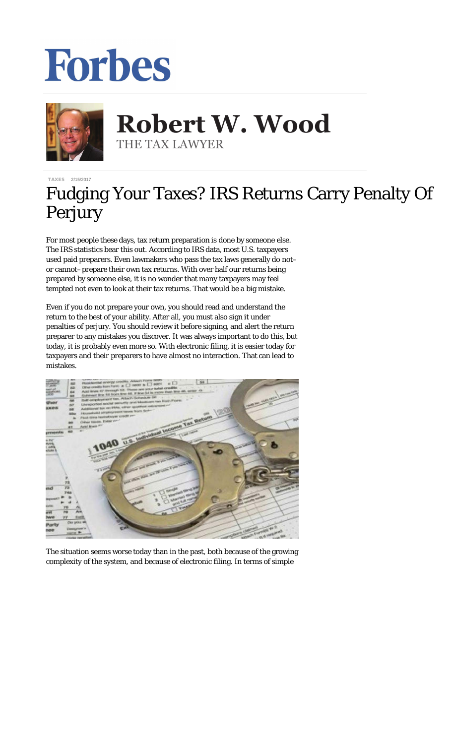## **Forbes**



**Robert W. Wood Robert W. Wood** THE TAX LAWYER THE TAX LAWYER

[TAXES](http://www.forbes.com/taxes) 2/15/2017

## Fudging Your Taxes? IRS Returns Carry Penalty Of Perjury

For most people these days, tax return preparation is done by someone else. The IRS statistics bear this out. According to IRS data, most U.S. taxpayers used paid preparers. Even lawmakers who pass the tax laws generally do not– or cannot–prepare their own tax returns. With over half our returns being prepared by someone else, it is no wonder that many taxpayers may feel tempted not even to *look* at their tax returns. That would be a big mistake.

Even if you do not prepare your own, you should read and understand the return to the best of your ability. After all, you must also sign it under penalties of perjury. You should review it before signing, and alert the return preparer to any mistakes you discover. It was always important to do this, but today, it is probably even more so. With electronic filing, it is easier today for taxpayers and their preparers to have almost no interaction. That can lead to mistakes.



The situation seems worse today than in the past, both because of the growing complexity of the system, and because of electronic filing. In terms of simple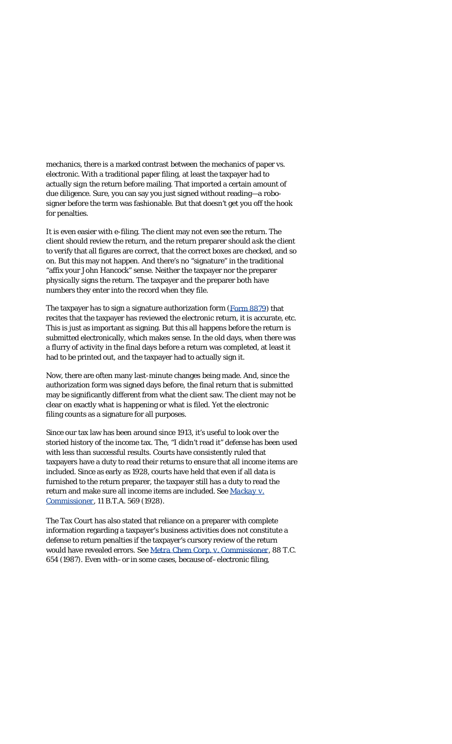mechanics, there is a marked contrast between the mechanics of paper vs. electronic. With a traditional paper filing, at least the taxpayer had to actually *sign* the return before mailing. That imported a certain amount of due diligence. Sure, you can say you just signed without reading—a robosigner before the term was fashionable. But that doesn't get you off the hook for penalties.

It is even easier with e-filing. The client may not even *see* the return. The client *should* review the return, and the return preparer should *ask* the client to verify that all figures are correct, that the correct boxes are checked, and so on. But this may not happen. And there's no "signature" in the traditional "affix your John Hancock" sense. Neither the taxpayer nor the preparer *physically* signs the return. The taxpayer and the preparer both have numbers they enter into the record when they file.

The taxpayer has to sign a signature authorization form [\(Form 8879](http://www.irs.gov/pub/irs-pdf/f8879.pdf)) that recites that the taxpayer has reviewed the electronic return, it is accurate, etc. This is just as important as signing. But this all happens *before* the return is submitted electronically, which makes sense. In the old days, when there was a flurry of activity in the final days before a return was completed, at least it had to be printed out, and the taxpayer had to actually sign it.

Now, there are often many last-minute changes being made. And, since the authorization form was signed days before, the final return that is submitted may be significantly different from what the client saw. The client may not be clear on exactly what is happening or what is filed. Yet the electronic filing counts as a signature for all purposes.

Since our tax law has been around since 1913, it's useful to look over the storied history of the income tax. The, "I didn't read it" defense has been used with less than successful results. Courts have consistently ruled that taxpayers have a duty to read their returns to ensure that all income items are included. Since as early as 1928, courts have held that even if all data is furnished to the return preparer, the taxpayer still has a duty to read the return and make sure all income items are included. See *[Mackay v.](http://scholar.google.com/scholar_case?case=11387619728341573488&q) [Commissioner](http://scholar.google.com/scholar_case?case=11387619728341573488&q)*, 11 B.T.A. 569 (1928).

The Tax Court has also stated that reliance on a preparer with complete information regarding a taxpayer's business activities does not constitute a defense to return penalties if the taxpayer's cursory review of the return would have revealed errors. See *[Metra Chem Corp. v. Commissioner](http://scholar.google.com/scholar_case?case=18145679806683974753&hl=en&as_sdt=2&as_vis=1&oi=scholarr)*, 88 T.C. 654 (1987). Even with–or in some cases, because of–electronic filing,